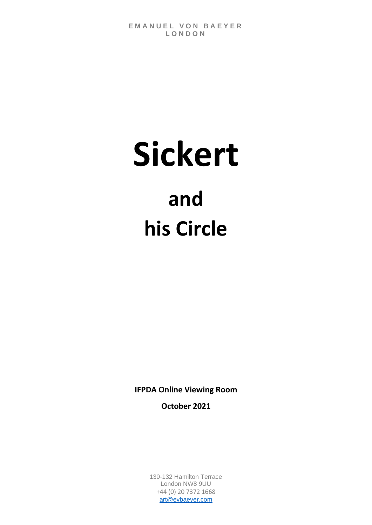# **Sickert and his Circle**

**IFPDA Online Viewing Room**

**October 2021**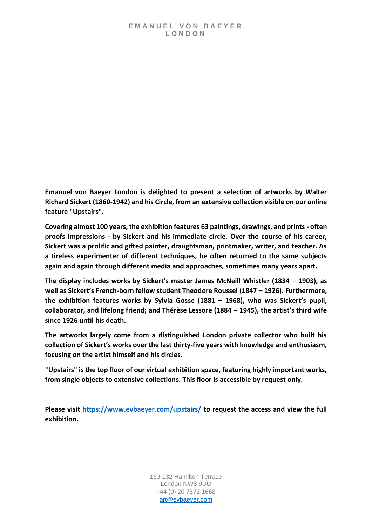**Emanuel von Baeyer London is delighted to present a selection of artworks by Walter Richard Sickert (1860-1942) and his Circle, from an extensive collection visible on our online feature "Upstairs".**

**Covering almost 100 years, the exhibition features 63 paintings, drawings, and prints - often proofs impressions - by Sickert and his immediate circle. Over the course of his career, Sickert was a prolific and gifted painter, draughtsman, printmaker, writer, and teacher. As a tireless experimenter of different techniques, he often returned to the same subjects again and again through different media and approaches, sometimes many years apart.**

**The display includes works by Sickert's master James McNeill Whistler (1834 – 1903), as well as Sickert's French-born fellow student Theodore Roussel (1847 – 1926). Furthermore, the exhibition features works by Sylvia Gosse (1881 – 1968), who was Sickert's pupil, collaborator, and lifelong friend; and Thérèse Lessore (1884 – 1945), the artist's third wife since 1926 until his death.**

**The artworks largely come from a distinguished London private collector who built his collection of Sickert's works over the last thirty-five years with knowledge and enthusiasm, focusing on the artist himself and his circles.**

**"Upstairs" is the top floor of our virtual exhibition space, featuring highly important works, from single objects to extensive collections. This floor is accessible by request only.**

**Please visit<https://www.evbaeyer.com/upstairs/> to request the access and view the full exhibition.**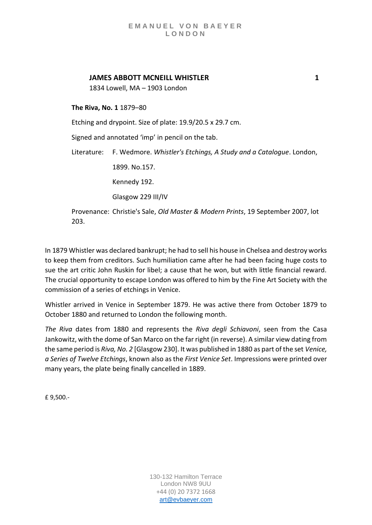# **JAMES ABBOTT MCNEILL WHISTLER 1**

1834 Lowell, MA – 1903 London

**The Riva, No. 1** 1879–80

Etching and drypoint. Size of plate: 19.9/20.5 x 29.7 cm.

Signed and annotated 'imp' in pencil on the tab.

Literature: F. Wedmore. *Whistler's Etchings, A Study and a Catalogue*. London,

1899. No.157.

Kennedy 192.

Glasgow 229 III/IV

Provenance: Christie's Sale, *Old Master & Modern Prints*, 19 September 2007, lot 203.

In 1879 Whistler was declared bankrupt; he had to sell his house in Chelsea and destroy works to keep them from creditors. Such humiliation came after he had been facing huge costs to sue the art critic John Ruskin for libel; a cause that he won, but with little financial reward. The crucial opportunity to escape London was offered to him by the Fine Art Society with the commission of a series of etchings in Venice.

Whistler arrived in Venice in September 1879. He was active there from October 1879 to October 1880 and returned to London the following month.

*The Riva* dates from 1880 and represents the *Riva degli Schiavoni*, seen from the Casa Jankowitz, with the dome of San Marco on the far right (in reverse). A similar view dating from the same period is *Riva, No. 2* [Glasgow 230]. It was published in 1880 as part of the set *Venice, a Series of Twelve Etchings*, known also as the *First Venice Set*. Impressions were printed over many years, the plate being finally cancelled in 1889.

£ 9,500.-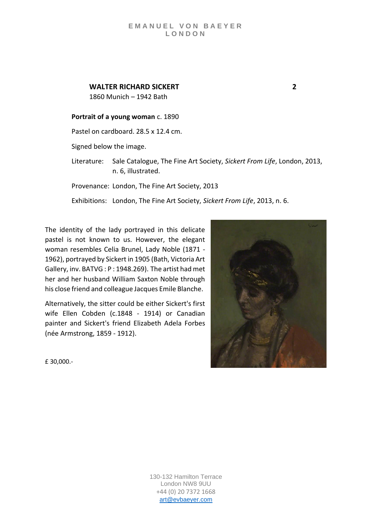# **WALTER RICHARD SICKERT 2**

1860 Munich – 1942 Bath

### **Portrait of a young woman** c. 1890

Pastel on cardboard. 28.5 x 12.4 cm.

Signed below the image.

Literature: Sale Catalogue, The Fine Art Society, *Sickert From Life*, London, 2013, n. 6, illustrated.

Provenance: London, The Fine Art Society, 2013

Exhibitions: London, The Fine Art Society, *Sickert From Life*, 2013, n. 6.

The identity of the lady portrayed in this delicate pastel is not known to us. However, the elegant woman resembles Celia Brunel, Lady Noble (1871 - 1962), portrayed by Sickert in 1905 (Bath, Victoria Art Gallery, inv. BATVG : P : 1948.269). The artist had met her and her husband William Saxton Noble through his close friend and colleague Jacques Emile Blanche.

Alternatively, the sitter could be either Sickert's first wife Ellen Cobden (c.1848 - 1914) or Canadian painter and Sickert's friend Elizabeth Adela Forbes (née Armstrong, 1859 - 1912).



£ 30,000.-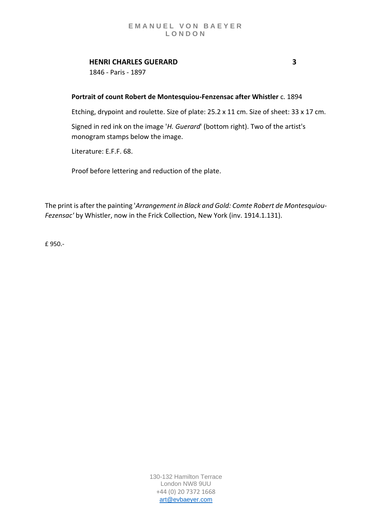# **HENRI CHARLES GUERARD 3**

1846 - Paris - 1897

# **Portrait of count Robert de Montesquiou-Fenzensac after Whistler** c. 1894

Etching, drypoint and roulette. Size of plate: 25.2 x 11 cm. Size of sheet: 33 x 17 cm.

Signed in red ink on the image '*H. Guerard*' (bottom right). Two of the artist's monogram stamps below the image.

Literature: E.F.F. 68.

Proof before lettering and reduction of the plate.

The print is after the painting '*Arrangement in Black and Gold: Comte Robert de Montesquiou-Fezensac'* by Whistler, now in the Frick Collection, New York (inv. 1914.1.131).

£ 950.-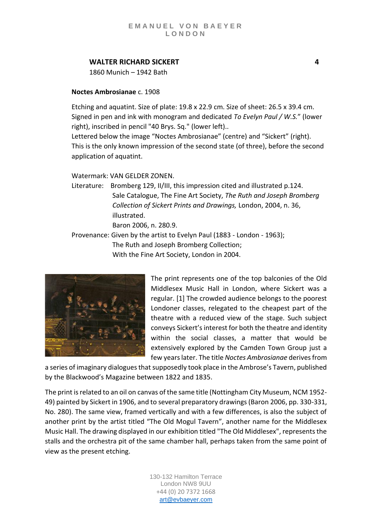# **WALTER RICHARD SICKERT 4**

1860 Munich – 1942 Bath

### **Noctes Ambrosianae** c. 1908

Etching and aquatint. Size of plate: 19.8 x 22.9 cm. Size of sheet: 26.5 x 39.4 cm. Signed in pen and ink with monogram and dedicated *To Evelyn Paul / W.S.*" (lower right), inscribed in pencil "40 Brys. Sq." (lower left)..

Lettered below the image "Noctes Ambrosianae" (centre) and "Sickert" (right). This is the only known impression of the second state (of three), before the second application of aquatint.

Watermark: VAN GELDER ZONEN.

Literature: Bromberg 129, II/III, this impression cited and illustrated p.124. Sale Catalogue, The Fine Art Society, *The Ruth and Joseph Bromberg Collection of Sickert Prints and Drawings,* London, 2004, n. 36, illustrated. Baron 2006, n. 280.9.

Provenance: Given by the artist to Evelyn Paul (1883 - London - 1963); The Ruth and Joseph Bromberg Collection;

With the Fine Art Society, London in 2004.



The print represents one of the top balconies of the Old Middlesex Music Hall in London, where Sickert was a regular. [1] The crowded audience belongs to the poorest Londoner classes, relegated to the cheapest part of the theatre with a reduced view of the stage. Such subject conveys Sickert's interest for both the theatre and identity within the social classes, a matter that would be extensively explored by the Camden Town Group just a few years later. The title *Noctes Ambrosianae* derives from

a series of imaginary dialogues that supposedly took place in the Ambrose's Tavern, published by the Blackwood's Magazine between 1822 and 1835.

The print is related to an oil on canvas of the same title (Nottingham City Museum, NCM 1952- 49) painted by Sickert in 1906, and to several preparatory drawings (Baron 2006, pp. 330-331, No. 280). The same view, framed vertically and with a few differences, is also the subject of another print by the artist titled "The Old Mogul Tavern", another name for the Middlesex Music Hall. The drawing displayed in our exhibition titled "The Old Middlesex", represents the stalls and the orchestra pit of the same chamber hall, perhaps taken from the same point of view as the present etching.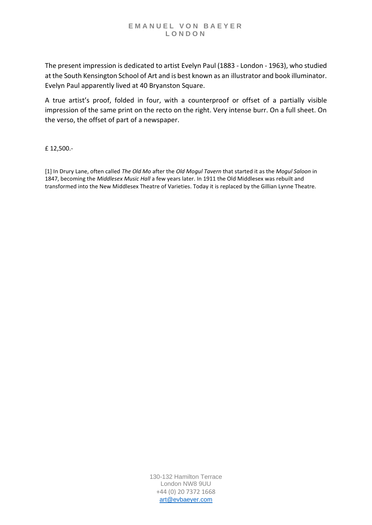The present impression is dedicated to artist Evelyn Paul (1883 - London - 1963), who studied at the South Kensington School of Art and is best known as an illustrator and book illuminator. Evelyn Paul apparently lived at 40 Bryanston Square.

A true artist's proof, folded in four, with a counterproof or offset of a partially visible impression of the same print on the recto on the right. Very intense burr. On a full sheet. On the verso, the offset of part of a newspaper.

£ 12,500.-

[1] In Drury Lane, often called *The Old Mo* after the *Old Mogul Tavern* that started it as the *Mogul Saloon* in 1847, becoming the *Middlesex Music Hall* a few years later. In 1911 the Old Middlesex was rebuilt and transformed into the New Middlesex Theatre of Varieties. Today it is replaced by the Gillian Lynne Theatre.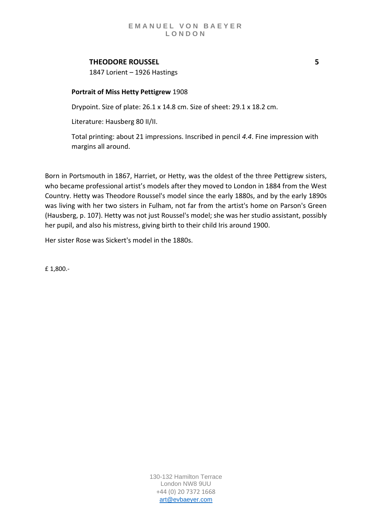# **THEODORE ROUSSEL 5**

1847 Lorient – 1926 Hastings

# **Portrait of Miss Hetty Pettigrew** 1908

Drypoint. Size of plate: 26.1 x 14.8 cm. Size of sheet: 29.1 x 18.2 cm.

Literature: Hausberg 80 II/II.

Total printing: about 21 impressions. Inscribed in pencil *4.4*. Fine impression with margins all around.

Born in Portsmouth in 1867, Harriet, or Hetty, was the oldest of the three Pettigrew sisters, who became professional artist's models after they moved to London in 1884 from the West Country. Hetty was Theodore Roussel's model since the early 1880s, and by the early 1890s was living with her two sisters in Fulham, not far from the artist's home on Parson's Green (Hausberg, p. 107). Hetty was not just Roussel's model; she was her studio assistant, possibly her pupil, and also his mistress, giving birth to their child Iris around 1900.

Her sister Rose was Sickert's model in the 1880s.

£ 1,800.-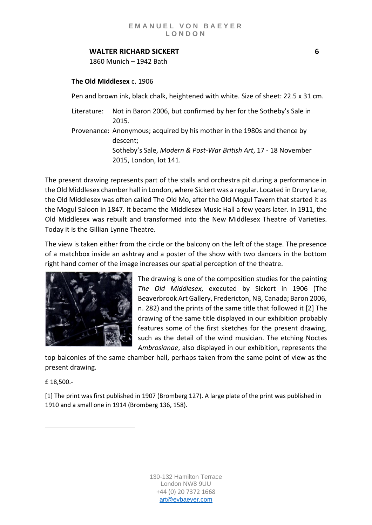# **WALTER RICHARD SICKERT 6**

1860 Munich – 1942 Bath

# **The Old Middlesex** c. 1906

Pen and brown ink, black chalk, heightened with white. Size of sheet: 22.5 x 31 cm.

- Literature: Not in Baron 2006, but confirmed by her for the Sotheby's Sale in 2015.
- Provenance: Anonymous; acquired by his mother in the 1980s and thence by descent; Sotheby's Sale, *Modern & Post-War British Art*, 17 - 18 November

2015, London, lot 141.

The present drawing represents part of the stalls and orchestra pit during a performance in the Old Middlesex chamber hall in London, where Sickert was a regular. Located in Drury Lane, the Old Middlesex was often called The Old Mo, after the Old Mogul Tavern that started it as the Mogul Saloon in 1847. It became the Middlesex Music Hall a few years later. In 1911, the Old Middlesex was rebuilt and transformed into the New Middlesex Theatre of Varieties. Today it is the Gillian Lynne Theatre.

The view is taken either from the circle or the balcony on the left of the stage. The presence of a matchbox inside an ashtray and a poster of the show with two dancers in the bottom right hand corner of the image increases our spatial perception of the theatre.



The drawing is one of the composition studies for the painting *The Old Middlesex*, executed by Sickert in 1906 (The Beaverbrook Art Gallery, Fredericton, NB, Canada; Baron 2006, n. 282) and the prints of the same title that followed it [2] [The](https://www.evbaeyer.com/upstairs/exhibitions/sickert-and-his-circle/artwork-35/?preview=Aph4iech2thaxah6)  [drawing of the same title displayed in our exhibition](https://www.evbaeyer.com/upstairs/exhibitions/sickert-and-his-circle/artwork-35/?preview=Aph4iech2thaxah6) probably features some of the first sketches for the present drawing, such as the detail of the wind musician. The [etching Noctes](https://www.evbaeyer.com/upstairs/exhibitions/sickert-and-his-circle/artwork-32/?preview=Aph4iech2thaxah6)  *[Ambrosianae](https://www.evbaeyer.com/upstairs/exhibitions/sickert-and-his-circle/artwork-32/?preview=Aph4iech2thaxah6)*, also displayed in our exhibition, represents the

top balconies of the same chamber hall, perhaps taken from the same point of view as the present drawing.

£ 18,500.-

[1] The print was first published in 1907 (Bromberg 127). A large plate of the print was published in 1910 and a small one in 1914 (Bromberg 136, 158).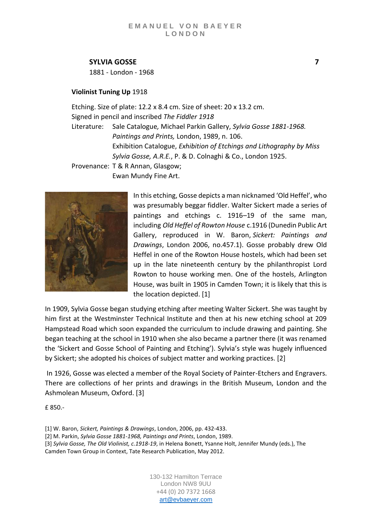# **SYLVIA GOSSE 7**

1881 - London - 1968

# **Violinist Tuning Up** 1918

Etching. Size of plate: 12.2 x 8.4 cm. Size of sheet: 20 x 13.2 cm. Signed in pencil and inscribed *The Fiddler 1918* Literature: Sale Catalogue*,* Michael Parkin Gallery, *Sylvia Gosse 1881-1968. Paintings and Prints,* London, 1989, n. 106. Exhibition Catalogue, *Exhibition of Etchings and Lithography by Miss Sylvia Gosse, A.R.E.*, P. & D. Colnaghi & Co., London 1925. Provenance: T & R Annan, Glasgow; Ewan Mundy Fine Art.



In this etching, Gosse depicts a man nicknamed 'Old Heffel', who was presumably beggar fiddler. Walter Sickert made a series of paintings and etchings c. 1916–19 of the same man, including *Old Heffel of Rowton House* c.1916 (Dunedin Public Art Gallery, reproduced in W. Baron, *Sickert: Paintings and Drawings*, London 2006, no.457.1). Gosse probably drew Old Heffel in one of the Rowton House hostels, which had been set up in the late nineteenth century by the philanthropist Lord Rowton to house working men. One of the hostels, Arlington House, was built in 1905 in Camden Town; it is likely that this is the location depicted. [1]

In 1909, Sylvia Gosse began studying etching after meeting Walter Sickert. She was taught by him first at the Westminster Technical Institute and then at his new etching school at 209 Hampstead Road which soon expanded the curriculum to include drawing and painting. She began teaching at the school in 1910 when she also became a partner there (it was renamed the 'Sickert and Gosse School of Painting and Etching'). Sylvia's style was hugely influenced by Sickert; she adopted his choices of subject matter and working practices. [2]

In 1926, Gosse was elected a member of the Royal Society of Painter-Etchers and Engravers. There are collections of her prints and drawings in the British Museum, London and the Ashmolean Museum, Oxford. [3]

£ 850.-

[1] W. Baron, *Sickert, Paintings & Drawings*, London, 2006, pp. 432-433.

[2] M. Parkin, *Sylvia Gosse 1881-1968, Paintings and Prints*, London, 1989.

[3] *Sylvia Gosse, The Old Violinist, c.1918-19*, in Helena Bonett, Ysanne Holt, Jennifer Mundy (eds.), The Camden Town Group in Context, Tate Research Publication, May 2012.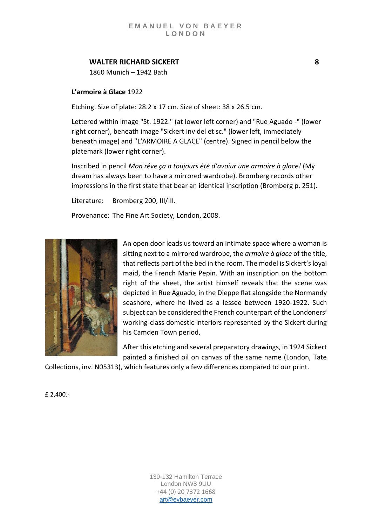# **WALTER RICHARD SICKERT 8**

1860 Munich – 1942 Bath

# **L'armoire à Glace** 1922

Etching. Size of plate: 28.2 x 17 cm. Size of sheet: 38 x 26.5 cm.

Lettered within image "St. 1922." (at lower left corner) and "Rue Aguado -" (lower right corner), beneath image "Sickert inv del et sc." (lower left, immediately beneath image) and "L'ARMOIRE A GLACE" (centre). Signed in pencil below the platemark (lower right corner).

Inscribed in pencil *Mon rêve ça a toujours été d'avoiur une armoire à glace!* (My dream has always been to have a mirrored wardrobe). Bromberg records other impressions in the first state that bear an identical inscription (Bromberg p. 251).

Literature: Bromberg 200, III/III.

Provenance: The Fine Art Society, London, 2008.



An open door leads us toward an intimate space where a woman is sitting next to a mirrored wardrobe, the *armoire à glace* of the title, that reflects part of the bed in the room. The model is Sickert's loyal maid, the French Marie Pepin. With an inscription on the bottom right of the sheet, the artist himself reveals that the scene was depicted in Rue Aguado, in the Dieppe flat alongside the Normandy seashore, where he lived as a lessee between 1920-1922. Such subject can be considered the French counterpart of the Londoners' working-class domestic interiors represented by the Sickert during his Camden Town period.

After this etching and several preparatory drawings, in 1924 Sickert painted a finished oil on canvas of the same name (London, Tate

Collections, inv. N05313), which features only a few differences compared to our print.

£ 2,400.-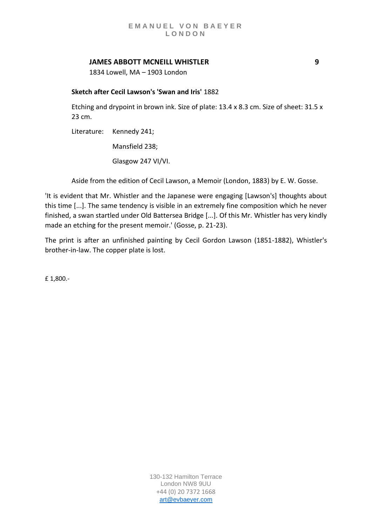# **JAMES ABBOTT MCNEILL WHISTLER 9**

1834 Lowell, MA – 1903 London

### **Sketch after Cecil Lawson's 'Swan and Iris'** 1882

Etching and drypoint in brown ink. Size of plate: 13.4 x 8.3 cm. Size of sheet: 31.5 x 23 cm.

Literature: Kennedy 241; Mansfield 238; Glasgow 247 VI/VI.

Aside from the edition of Cecil Lawson, a Memoir (London, 1883) by E. W. Gosse.

'It is evident that Mr. Whistler and the Japanese were engaging [Lawson's] thoughts about this time [...]. The same tendency is visible in an extremely fine composition which he never finished, a swan startled under Old Battersea Bridge [...]. Of this Mr. Whistler has very kindly made an etching for the present memoir.' (Gosse, p. 21-23).

The print is after an unfinished painting by Cecil Gordon Lawson (1851-1882), Whistler's brother-in-law. The copper plate is lost.

£ 1,800.-